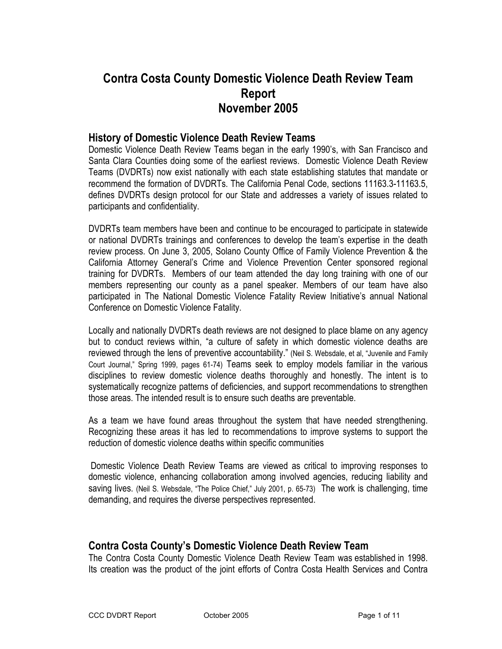# Contra Costa County Domestic Violence Death Review Team Report November 2005

#### History of Domestic Violence Death Review Teams

Domestic Violence Death Review Teams began in the early 1990's, with San Francisco and Santa Clara Counties doing some of the earliest reviews. Domestic Violence Death Review Teams (DVDRTs) now exist nationally with each state establishing statutes that mandate or recommend the formation of DVDRTs. The California Penal Code, sections 11163.3-11163.5, defines DVDRTs design protocol for our State and addresses a variety of issues related to participants and confidentiality.

DVDRTs team members have been and continue to be encouraged to participate in statewide or national DVDRTs trainings and conferences to develop the team's expertise in the death review process. On June 3, 2005, Solano County Office of Family Violence Prevention & the California Attorney General's Crime and Violence Prevention Center sponsored regional training for DVDRTs. Members of our team attended the day long training with one of our members representing our county as a panel speaker. Members of our team have also participated in The National Domestic Violence Fatality Review Initiative's annual National Conference on Domestic Violence Fatality.

Locally and nationally DVDRTs death reviews are not designed to place blame on any agency but to conduct reviews within, "a culture of safety in which domestic violence deaths are reviewed through the lens of preventive accountability." (Neil S. Websdale, et al, "Juvenile and Family Court Journal," Spring 1999, pages 61-74) Teams seek to employ models familiar in the various disciplines to review domestic violence deaths thoroughly and honestly. The intent is to systematically recognize patterns of deficiencies, and support recommendations to strengthen those areas. The intended result is to ensure such deaths are preventable.

As a team we have found areas throughout the system that have needed strengthening. Recognizing these areas it has led to recommendations to improve systems to support the reduction of domestic violence deaths within specific communities

 Domestic Violence Death Review Teams are viewed as critical to improving responses to domestic violence, enhancing collaboration among involved agencies, reducing liability and saving lives. (Neil S. Websdale, "The Police Chief," July 2001, p. 65-73) The work is challenging, time demanding, and requires the diverse perspectives represented.

### Contra Costa County's Domestic Violence Death Review Team

The Contra Costa County Domestic Violence Death Review Team was established in 1998. Its creation was the product of the joint efforts of Contra Costa Health Services and Contra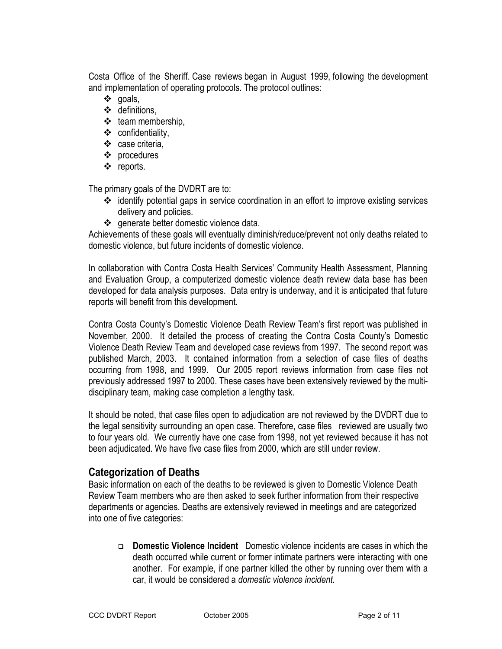Costa Office of the Sheriff. Case reviews began in August 1999, following the development and implementation of operating protocols. The protocol outlines:

- goals,
- $\div$  definitions,
- $\div$  team membership,
- $\div$  confidentiality,
- case criteria,
- procedures
- ❖ reports.

The primary goals of the DVDRT are to:

- $\div$  identify potential gaps in service coordination in an effort to improve existing services delivery and policies.
- ❖ generate better domestic violence data.

Achievements of these goals will eventually diminish/reduce/prevent not only deaths related to domestic violence, but future incidents of domestic violence.

In collaboration with Contra Costa Health Services' Community Health Assessment, Planning and Evaluation Group, a computerized domestic violence death review data base has been developed for data analysis purposes. Data entry is underway, and it is anticipated that future reports will benefit from this development.

Contra Costa County's Domestic Violence Death Review Team's first report was published in November, 2000. It detailed the process of creating the Contra Costa County's Domestic Violence Death Review Team and developed case reviews from 1997. The second report was published March, 2003. It contained information from a selection of case files of deaths occurring from 1998, and 1999. Our 2005 report reviews information from case files not previously addressed 1997 to 2000. These cases have been extensively reviewed by the multidisciplinary team, making case completion a lengthy task.

It should be noted, that case files open to adjudication are not reviewed by the DVDRT due to the legal sensitivity surrounding an open case. Therefore, case files reviewed are usually two to four years old. We currently have one case from 1998, not yet reviewed because it has not been adjudicated. We have five case files from 2000, which are still under review.

### Categorization of Deaths

Basic information on each of the deaths to be reviewed is given to Domestic Violence Death Review Team members who are then asked to seek further information from their respective departments or agencies. Deaths are extensively reviewed in meetings and are categorized into one of five categories:

 Domestic Violence Incident Domestic violence incidents are cases in which the death occurred while current or former intimate partners were interacting with one another. For example, if one partner killed the other by running over them with a car, it would be considered a domestic violence incident.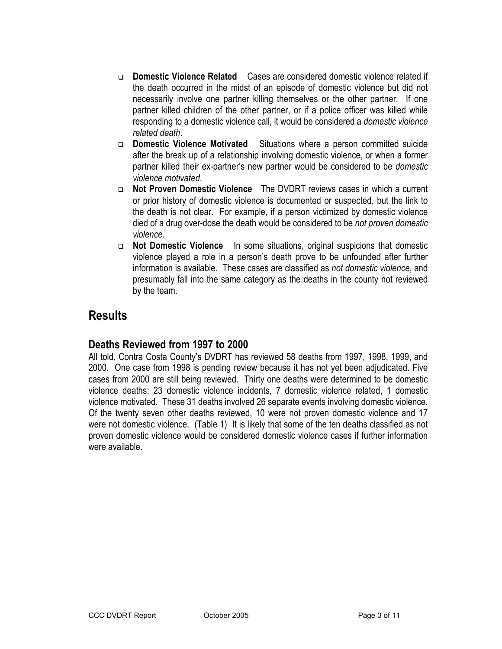- Domestic Violence Related Cases are considered domestic violence related if the death occurred in the midst of an episode of domestic violence but did not necessarily involve one partner killing themselves or the other partner. If one partner killed children of the other partner, or if a police officer was killed while responding to a domestic violence call, it would be considered a domestic violence related death.
- Domestic Violence Motivated Situations where a person committed suicide after the break up of a relationship involving domestic violence, or when a former partner killed their ex-partner's new partner would be considered to be domestic violence motivated.
- Not Proven Domestic Violence The DVDRT reviews cases in which a current or prior history of domestic violence is documented or suspected, but the link to the death is not clear. For example, if a person victimized by domestic violence died of a drug over-dose the death would be considered to be not proven domestic violence.
- Not Domestic Violence In some situations, original suspicions that domestic violence played a role in a person's death prove to be unfounded after further information is available. These cases are classified as not domestic violence, and presumably fall into the same category as the deaths in the county not reviewed by the team.

# Results

### Deaths Reviewed from 1997 to 2000

All told, Contra Costa County's DVDRT has reviewed 58 deaths from 1997, 1998, 1999, and 2000. One case from 1998 is pending review because it has not yet been adjudicated. Five cases from 2000 are still being reviewed. Thirty one deaths were determined to be domestic violence deaths; 23 domestic violence incidents, 7 domestic violence related, 1 domestic violence motivated. These 31 deaths involved 26 separate events involving domestic violence. Of the twenty seven other deaths reviewed, 10 were not proven domestic violence and 17 were not domestic violence. (Table 1) It is likely that some of the ten deaths classified as not proven domestic violence would be considered domestic violence cases if further information were available.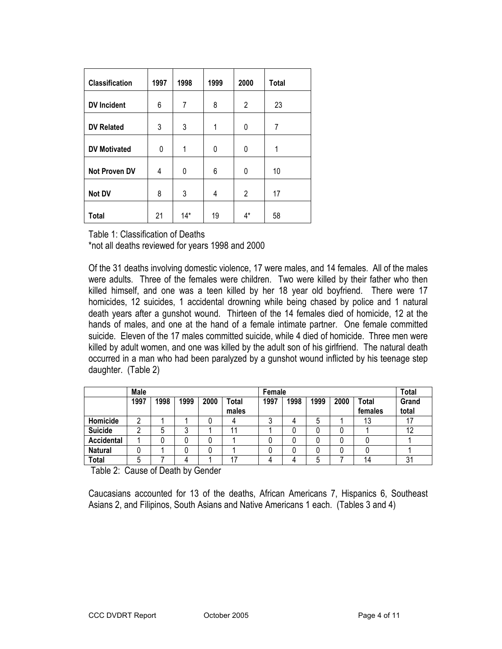| <b>Classification</b> | 1997     | 1998  | 1999 | 2000  | <b>Total</b> |
|-----------------------|----------|-------|------|-------|--------------|
| <b>DV</b> Incident    | 6        | 7     | 8    | 2     | 23           |
| <b>DV Related</b>     | 3        | 3     | 1    | 0     | 7            |
| <b>DV Motivated</b>   | $\Omega$ | 1     | 0    | 0     | 1            |
| <b>Not Proven DV</b>  | 4        | 0     | 6    | 0     | 10           |
| Not DV                | 8        | 3     | 4    | 2     | 17           |
| Total                 | 21       | $14*$ | 19   | $4^*$ | 58           |

Table 1: Classification of Deaths

\*not all deaths reviewed for years 1998 and 2000

Of the 31 deaths involving domestic violence, 17 were males, and 14 females. All of the males were adults. Three of the females were children. Two were killed by their father who then killed himself, and one was a teen killed by her 18 year old boyfriend. There were 17 homicides, 12 suicides, 1 accidental drowning while being chased by police and 1 natural death years after a gunshot wound. Thirteen of the 14 females died of homicide, 12 at the hands of males, and one at the hand of a female intimate partner. One female committed suicide. Eleven of the 17 males committed suicide, while 4 died of homicide. Three men were killed by adult women, and one was killed by the adult son of his girlfriend. The natural death occurred in a man who had been paralyzed by a gunshot wound inflicted by his teenage step daughter. (Table 2)

|                   | Male |      |      |      |              | Female |      |      |      |         | Total |
|-------------------|------|------|------|------|--------------|--------|------|------|------|---------|-------|
|                   | 1997 | 1998 | 1999 | 2000 | <b>Total</b> | 1997   | 1998 | 1999 | 2000 | Total   | Grand |
|                   |      |      |      |      | males        |        |      |      |      | females | total |
| Homicide          | ∩    |      |      |      |              | υ      |      | 5    |      | 13      | 17    |
| <b>Suicide</b>    | n    | 5    | ບ    |      | 11           |        |      | U    |      |         | 12    |
| <b>Accidental</b> |      | U    |      |      |              |        |      |      |      |         |       |
| <b>Natural</b>    |      |      |      |      |              |        |      |      |      |         |       |
| Total             | 5    |      |      |      | 17           | Д      |      | 5    |      | 14      | 31    |

Table 2: Cause of Death by Gender

Caucasians accounted for 13 of the deaths, African Americans 7, Hispanics 6, Southeast Asians 2, and Filipinos, South Asians and Native Americans 1 each. (Tables 3 and 4)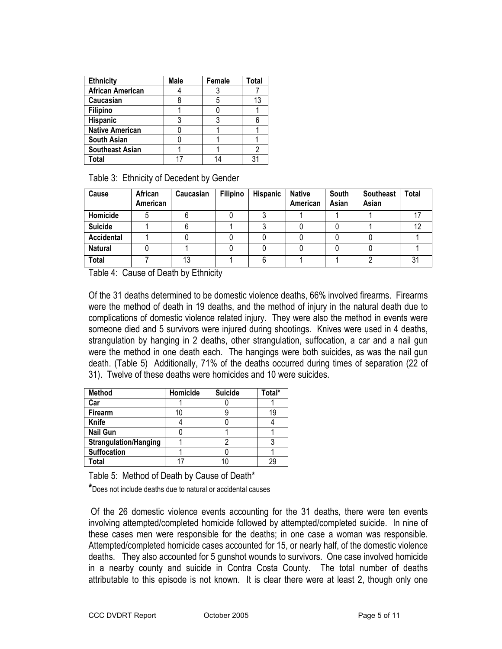| <b>Ethnicity</b>        | <b>Male</b> | Female | Total |
|-------------------------|-------------|--------|-------|
| <b>African American</b> |             |        |       |
| Caucasian               |             | 5      |       |
| <b>Filipino</b>         |             |        |       |
| <b>Hispanic</b>         |             |        |       |
| <b>Native American</b>  |             |        |       |
| <b>South Asian</b>      |             |        |       |
| <b>Southeast Asian</b>  |             |        |       |
| Total                   |             |        |       |

Table 3: Ethnicity of Decedent by Gender

| Cause          | African<br>American | Caucasian | Filipino | <b>Hispanic</b> | <b>Native</b><br>American | South<br>Asian | <b>Southeast</b><br>Asian | Total |
|----------------|---------------------|-----------|----------|-----------------|---------------------------|----------------|---------------------------|-------|
| Homicide       |                     |           |          |                 |                           |                |                           | 17    |
| <b>Suicide</b> |                     |           |          |                 |                           |                |                           | 12    |
| Accidental     |                     |           |          |                 |                           |                |                           |       |
| <b>Natural</b> |                     |           |          |                 |                           |                |                           |       |
| <b>Total</b>   |                     | 13        |          |                 |                           |                |                           | 31    |

Table 4: Cause of Death by Ethnicity

Of the 31 deaths determined to be domestic violence deaths, 66% involved firearms. Firearms were the method of death in 19 deaths, and the method of injury in the natural death due to complications of domestic violence related injury. They were also the method in events were someone died and 5 survivors were injured during shootings. Knives were used in 4 deaths, strangulation by hanging in 2 deaths, other strangulation, suffocation, a car and a nail gun were the method in one death each. The hangings were both suicides, as was the nail gun death. (Table 5) Additionally, 71% of the deaths occurred during times of separation (22 of 31). Twelve of these deaths were homicides and 10 were suicides.

| <b>Method</b>                | Homicide | <b>Suicide</b> | Total* |
|------------------------------|----------|----------------|--------|
| Car                          |          |                |        |
| <b>Firearm</b>               | 10       |                | 19     |
| Knife                        |          |                |        |
| <b>Nail Gun</b>              |          |                |        |
| <b>Strangulation/Hanging</b> |          |                |        |
| Suffocation                  |          |                |        |
| Total                        |          |                | 29     |

Table 5: Method of Death by Cause of Death\*

\*Does not include deaths due to natural or accidental causes

 Of the 26 domestic violence events accounting for the 31 deaths, there were ten events involving attempted/completed homicide followed by attempted/completed suicide. In nine of these cases men were responsible for the deaths; in one case a woman was responsible. Attempted/completed homicide cases accounted for 15, or nearly half, of the domestic violence deaths. They also accounted for 5 gunshot wounds to survivors. One case involved homicide in a nearby county and suicide in Contra Costa County. The total number of deaths attributable to this episode is not known. It is clear there were at least 2, though only one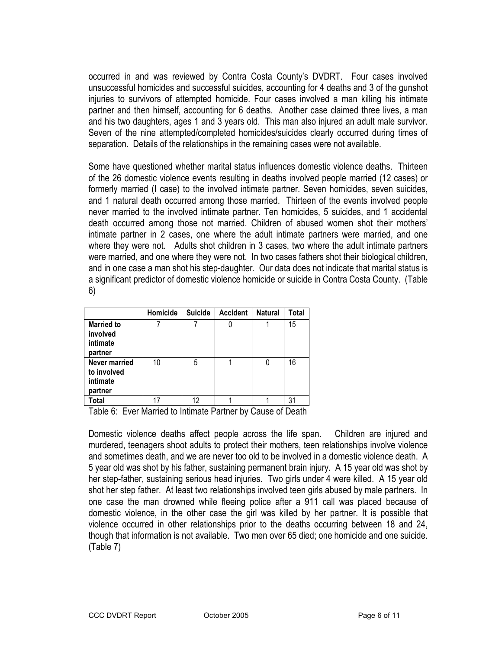occurred in and was reviewed by Contra Costa County's DVDRT. Four cases involved unsuccessful homicides and successful suicides, accounting for 4 deaths and 3 of the gunshot injuries to survivors of attempted homicide. Four cases involved a man killing his intimate partner and then himself, accounting for 6 deaths. Another case claimed three lives, a man and his two daughters, ages 1 and 3 years old. This man also injured an adult male survivor. Seven of the nine attempted/completed homicides/suicides clearly occurred during times of separation. Details of the relationships in the remaining cases were not available.

Some have questioned whether marital status influences domestic violence deaths. Thirteen of the 26 domestic violence events resulting in deaths involved people married (12 cases) or formerly married (I case) to the involved intimate partner. Seven homicides, seven suicides, and 1 natural death occurred among those married. Thirteen of the events involved people never married to the involved intimate partner. Ten homicides, 5 suicides, and 1 accidental death occurred among those not married. Children of abused women shot their mothers' intimate partner in 2 cases, one where the adult intimate partners were married, and one where they were not. Adults shot children in 3 cases, two where the adult intimate partners were married, and one where they were not. In two cases fathers shot their biological children, and in one case a man shot his step-daughter. Our data does not indicate that marital status is a significant predictor of domestic violence homicide or suicide in Contra Costa County. (Table 6)

|                                                            | Homicide | <b>Suicide</b> | <b>Accident</b> | <b>Natural</b> | Total |
|------------------------------------------------------------|----------|----------------|-----------------|----------------|-------|
| <b>Married to</b><br>involved<br>intimate<br>partner       |          |                |                 |                | 15    |
| <b>Never married</b><br>to involved<br>intimate<br>partner | 10       | 5              |                 |                | 16    |
| Total                                                      | 17       | 12             |                 |                | 31    |

Table 6: Ever Married to Intimate Partner by Cause of Death

Domestic violence deaths affect people across the life span. Children are injured and murdered, teenagers shoot adults to protect their mothers, teen relationships involve violence and sometimes death, and we are never too old to be involved in a domestic violence death. A 5 year old was shot by his father, sustaining permanent brain injury. A 15 year old was shot by her step-father, sustaining serious head injuries. Two girls under 4 were killed. A 15 year old shot her step father. At least two relationships involved teen girls abused by male partners. In one case the man drowned while fleeing police after a 911 call was placed because of domestic violence, in the other case the girl was killed by her partner. It is possible that violence occurred in other relationships prior to the deaths occurring between 18 and 24, though that information is not available. Two men over 65 died; one homicide and one suicide. (Table 7)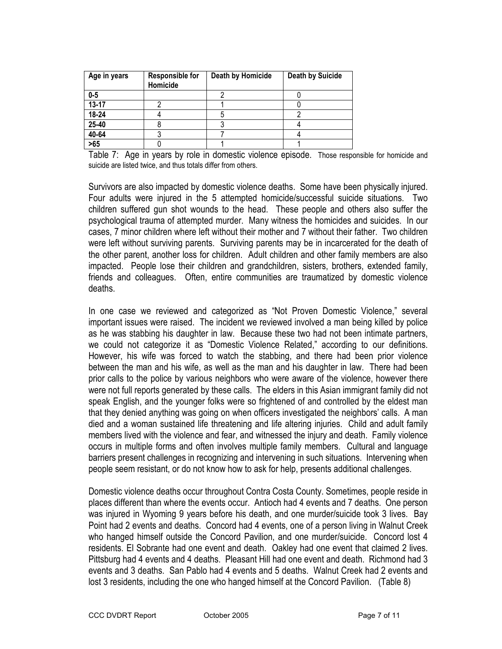| Age in years | <b>Responsible for</b><br>Homicide | Death by Homicide | <b>Death by Suicide</b> |
|--------------|------------------------------------|-------------------|-------------------------|
| $0 - 5$      |                                    |                   |                         |
| $13 - 17$    |                                    |                   |                         |
| 18-24        |                                    | C                 |                         |
| 25-40        |                                    |                   |                         |
| 40-64        |                                    |                   |                         |
| >65          |                                    |                   |                         |

Table 7: Age in years by role in domestic violence episode. Those responsible for homicide and suicide are listed twice, and thus totals differ from others.

Survivors are also impacted by domestic violence deaths. Some have been physically injured. Four adults were injured in the 5 attempted homicide/successful suicide situations. Two children suffered gun shot wounds to the head. These people and others also suffer the psychological trauma of attempted murder. Many witness the homicides and suicides. In our cases, 7 minor children where left without their mother and 7 without their father. Two children were left without surviving parents. Surviving parents may be in incarcerated for the death of the other parent, another loss for children. Adult children and other family members are also impacted. People lose their children and grandchildren, sisters, brothers, extended family, friends and colleagues. Often, entire communities are traumatized by domestic violence deaths.

In one case we reviewed and categorized as "Not Proven Domestic Violence," several important issues were raised. The incident we reviewed involved a man being killed by police as he was stabbing his daughter in law. Because these two had not been intimate partners, we could not categorize it as "Domestic Violence Related," according to our definitions. However, his wife was forced to watch the stabbing, and there had been prior violence between the man and his wife, as well as the man and his daughter in law. There had been prior calls to the police by various neighbors who were aware of the violence, however there were not full reports generated by these calls. The elders in this Asian immigrant family did not speak English, and the younger folks were so frightened of and controlled by the eldest man that they denied anything was going on when officers investigated the neighbors' calls. A man died and a woman sustained life threatening and life altering injuries. Child and adult family members lived with the violence and fear, and witnessed the injury and death. Family violence occurs in multiple forms and often involves multiple family members. Cultural and language barriers present challenges in recognizing and intervening in such situations. Intervening when people seem resistant, or do not know how to ask for help, presents additional challenges.

Domestic violence deaths occur throughout Contra Costa County. Sometimes, people reside in places different than where the events occur. Antioch had 4 events and 7 deaths. One person was injured in Wyoming 9 years before his death, and one murder/suicide took 3 lives. Bay Point had 2 events and deaths. Concord had 4 events, one of a person living in Walnut Creek who hanged himself outside the Concord Pavilion, and one murder/suicide. Concord lost 4 residents. El Sobrante had one event and death. Oakley had one event that claimed 2 lives. Pittsburg had 4 events and 4 deaths. Pleasant Hill had one event and death. Richmond had 3 events and 3 deaths. San Pablo had 4 events and 5 deaths. Walnut Creek had 2 events and lost 3 residents, including the one who hanged himself at the Concord Pavilion. (Table 8)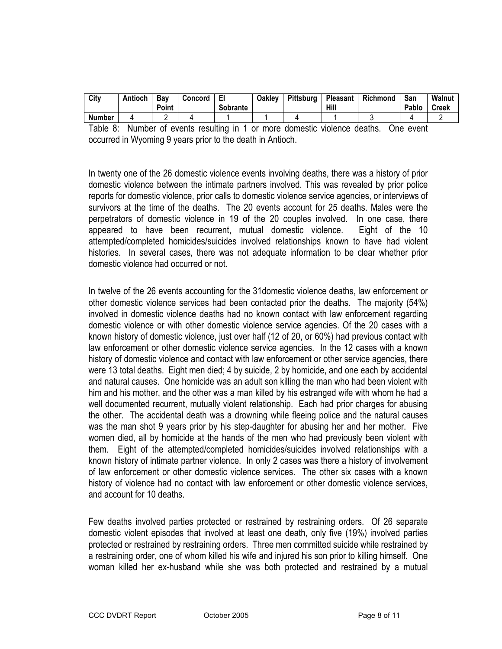| City          | Antioch | Bav<br>Point | Concord | Sobrante | Oakley | Pittsburg | Pleasant<br>Hill | <b>Richmond</b>  | San<br>Pablo | Walnut<br><b>Creek</b> |
|---------------|---------|--------------|---------|----------|--------|-----------|------------------|------------------|--------------|------------------------|
| <b>Number</b> |         |              |         |          |        |           |                  |                  |              |                        |
| -             |         |              |         | .        |        | $\sim$ .  |                  | $\sim$<br>$\sim$ |              |                        |

Table 8: Number of events resulting in 1 or more domestic violence deaths. One event occurred in Wyoming 9 years prior to the death in Antioch.

In twenty one of the 26 domestic violence events involving deaths, there was a history of prior domestic violence between the intimate partners involved. This was revealed by prior police reports for domestic violence, prior calls to domestic violence service agencies, or interviews of survivors at the time of the deaths. The 20 events account for 25 deaths. Males were the perpetrators of domestic violence in 19 of the 20 couples involved. In one case, there appeared to have been recurrent, mutual domestic violence. Eight of the 10 attempted/completed homicides/suicides involved relationships known to have had violent histories. In several cases, there was not adequate information to be clear whether prior domestic violence had occurred or not.

In twelve of the 26 events accounting for the 31domestic violence deaths, law enforcement or other domestic violence services had been contacted prior the deaths. The majority (54%) involved in domestic violence deaths had no known contact with law enforcement regarding domestic violence or with other domestic violence service agencies. Of the 20 cases with a known history of domestic violence, just over half (12 of 20, or 60%) had previous contact with law enforcement or other domestic violence service agencies. In the 12 cases with a known history of domestic violence and contact with law enforcement or other service agencies, there were 13 total deaths. Eight men died; 4 by suicide, 2 by homicide, and one each by accidental and natural causes. One homicide was an adult son killing the man who had been violent with him and his mother, and the other was a man killed by his estranged wife with whom he had a well documented recurrent, mutually violent relationship. Each had prior charges for abusing the other. The accidental death was a drowning while fleeing police and the natural causes was the man shot 9 years prior by his step-daughter for abusing her and her mother. Five women died, all by homicide at the hands of the men who had previously been violent with them. Eight of the attempted/completed homicides/suicides involved relationships with a known history of intimate partner violence. In only 2 cases was there a history of involvement of law enforcement or other domestic violence services. The other six cases with a known history of violence had no contact with law enforcement or other domestic violence services, and account for 10 deaths.

Few deaths involved parties protected or restrained by restraining orders. Of 26 separate domestic violent episodes that involved at least one death, only five (19%) involved parties protected or restrained by restraining orders. Three men committed suicide while restrained by a restraining order, one of whom killed his wife and injured his son prior to killing himself. One woman killed her ex-husband while she was both protected and restrained by a mutual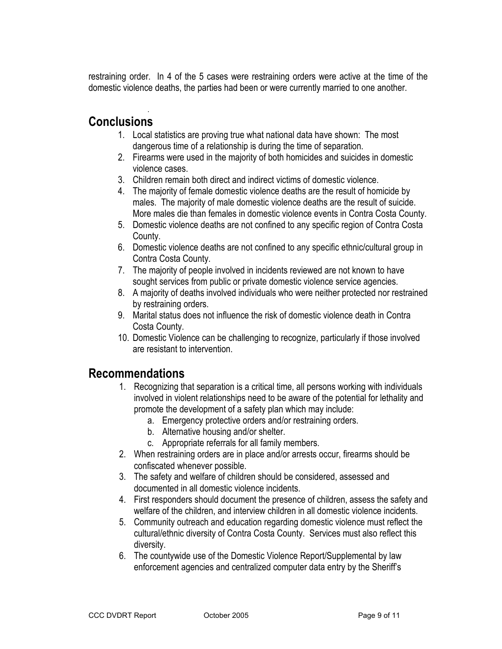restraining order. In 4 of the 5 cases were restraining orders were active at the time of the domestic violence deaths, the parties had been or were currently married to one another.

### . Conclusions

- 1. Local statistics are proving true what national data have shown: The most dangerous time of a relationship is during the time of separation.
- 2. Firearms were used in the majority of both homicides and suicides in domestic violence cases.
- 3. Children remain both direct and indirect victims of domestic violence.
- 4. The majority of female domestic violence deaths are the result of homicide by males. The majority of male domestic violence deaths are the result of suicide. More males die than females in domestic violence events in Contra Costa County.
- 5. Domestic violence deaths are not confined to any specific region of Contra Costa County.
- 6. Domestic violence deaths are not confined to any specific ethnic/cultural group in Contra Costa County.
- 7. The majority of people involved in incidents reviewed are not known to have sought services from public or private domestic violence service agencies.
- 8. A majority of deaths involved individuals who were neither protected nor restrained by restraining orders.
- 9. Marital status does not influence the risk of domestic violence death in Contra Costa County.
- 10. Domestic Violence can be challenging to recognize, particularly if those involved are resistant to intervention.

# Recommendations

- 1. Recognizing that separation is a critical time, all persons working with individuals involved in violent relationships need to be aware of the potential for lethality and promote the development of a safety plan which may include:
	- a. Emergency protective orders and/or restraining orders.
	- b. Alternative housing and/or shelter.
	- c. Appropriate referrals for all family members.
- 2. When restraining orders are in place and/or arrests occur, firearms should be confiscated whenever possible.
- 3. The safety and welfare of children should be considered, assessed and documented in all domestic violence incidents.
- 4. First responders should document the presence of children, assess the safety and welfare of the children, and interview children in all domestic violence incidents.
- 5. Community outreach and education regarding domestic violence must reflect the cultural/ethnic diversity of Contra Costa County. Services must also reflect this diversity.
- 6. The countywide use of the Domestic Violence Report/Supplemental by law enforcement agencies and centralized computer data entry by the Sheriff's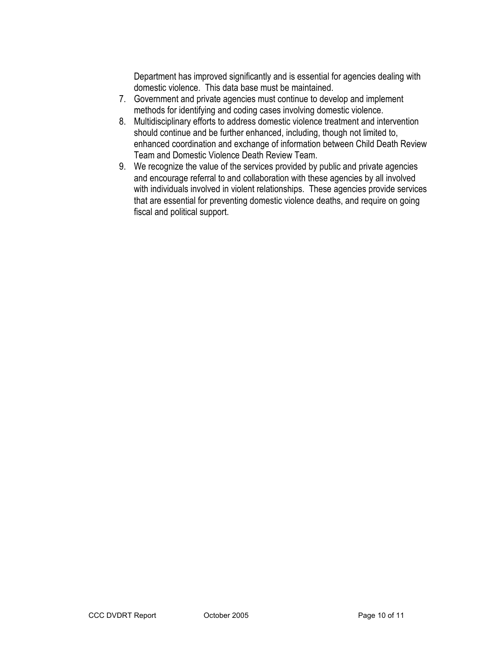Department has improved significantly and is essential for agencies dealing with domestic violence. This data base must be maintained.

- 7. Government and private agencies must continue to develop and implement methods for identifying and coding cases involving domestic violence.
- 8. Multidisciplinary efforts to address domestic violence treatment and intervention should continue and be further enhanced, including, though not limited to, enhanced coordination and exchange of information between Child Death Review Team and Domestic Violence Death Review Team.
- 9. We recognize the value of the services provided by public and private agencies and encourage referral to and collaboration with these agencies by all involved with individuals involved in violent relationships. These agencies provide services that are essential for preventing domestic violence deaths, and require on going fiscal and political support.